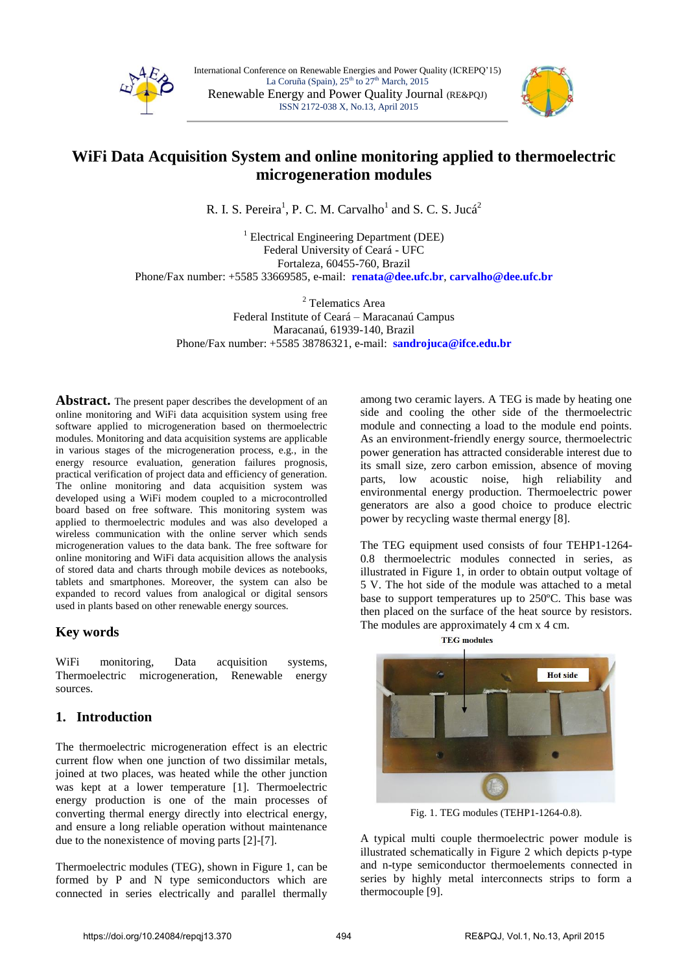



# **WiFi Data Acquisition System and online monitoring applied to thermoelectric microgeneration modules**

R. I. S. Pereira<sup>1</sup>, P. C. M. Carvalho<sup>1</sup> and S. C. S. Jucá<sup>2</sup>

<sup>1</sup> Electrical Engineering Department (DEE) Federal University of Ceará - UFC Fortaleza, 60455-760, Brazil Phone/Fax number: +5585 33669585, e-mail: **[renata@dee.ufc.br](mailto:renata@dee.ufc.br)**, **carvalho@dee.ufc.br**

<sup>2</sup> Telematics Area Federal Institute of Ceará – Maracanaú Campus Maracanaú, 61939-140, Brazil Phone/Fax number: +5585 38786321, e-mail: **sandrojuca@ifce.edu.br**

**Abstract.** The present paper describes the development of an online monitoring and WiFi data acquisition system using free software applied to microgeneration based on thermoelectric modules. Monitoring and data acquisition systems are applicable in various stages of the microgeneration process, e.g., in the energy resource evaluation, generation failures prognosis, practical verification of project data and efficiency of generation. The online monitoring and data acquisition system was developed using a WiFi modem coupled to a microcontrolled board based on free software. This monitoring system was applied to thermoelectric modules and was also developed a wireless communication with the online server which sends microgeneration values to the data bank. The free software for online monitoring and WiFi data acquisition allows the analysis of stored data and charts through mobile devices as notebooks, tablets and smartphones. Moreover, the system can also be expanded to record values from analogical or digital sensors used in plants based on other renewable energy sources.

# **Key words**

WiFi monitoring, Data acquisition systems, Thermoelectric microgeneration, Renewable energy sources.

# **1. Introduction**

The thermoelectric microgeneration effect is an electric current flow when one junction of two dissimilar metals, joined at two places, was heated while the other junction was kept at a lower temperature [1]. Thermoelectric energy production is one of the main processes of converting thermal energy directly into electrical energy, and ensure a long reliable operation without maintenance due to the nonexistence of moving parts [2]-[7].

Thermoelectric modules (TEG), shown in Figure 1, can be formed by P and N type semiconductors which are connected in series electrically and parallel thermally among two ceramic layers. A TEG is made by heating one side and cooling the other side of the thermoelectric module and connecting a load to the module end points. As an environment-friendly energy source, thermoelectric power generation has attracted considerable interest due to its small size, zero carbon emission, absence of moving parts, low acoustic noise, high reliability and environmental energy production. Thermoelectric power generators are also a good choice to produce electric power by recycling waste thermal energy [8].

The TEG equipment used consists of four TEHP1-1264- 0.8 thermoelectric modules connected in series, as illustrated in Figure 1, in order to obtain output voltage of 5 V. The hot side of the module was attached to a metal base to support temperatures up to 250ºC. This base was then placed on the surface of the heat source by resistors. The modules are approximately 4 cm x 4 cm.



Fig. 1. TEG modules (TEHP1-1264-0.8).

A typical multi couple thermoelectric power module is illustrated schematically in Figure 2 which depicts p-type and n-type semiconductor thermoelements connected in series by highly metal interconnects strips to form a thermocouple [9].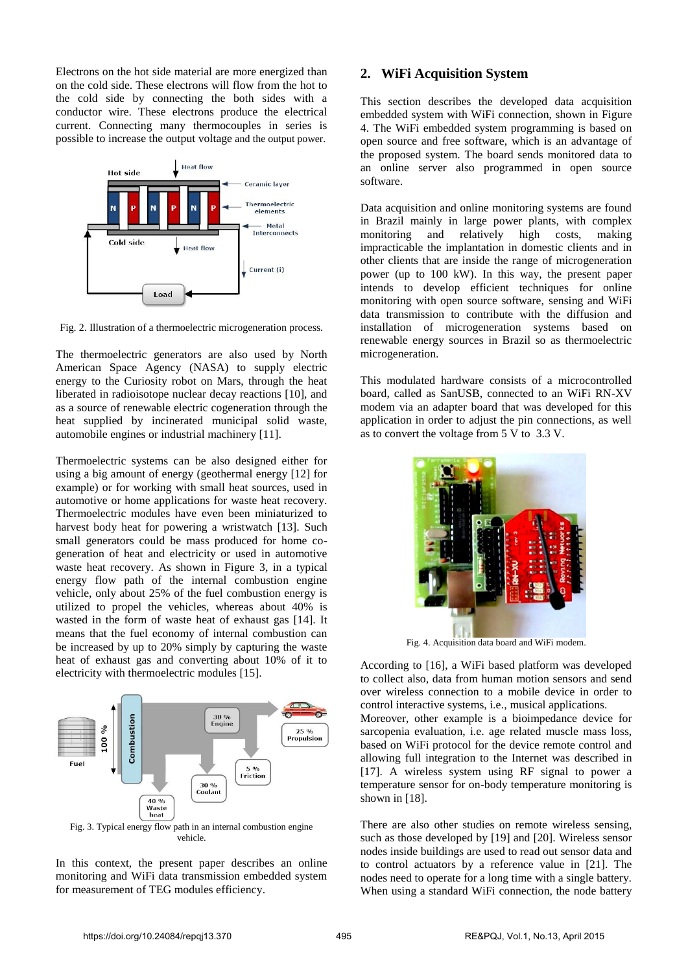Electrons on the hot side material are more energized than on the cold side. These electrons will flow from the hot to the cold side by connecting the both sides with a conductor wire. These electrons produce the electrical current. Connecting many thermocouples in series is possible to increase the output voltage and the output power.



Fig. 2. Illustration of a thermoelectric microgeneration process.

The thermoelectric generators are also used by North American Space Agency (NASA) to supply electric energy to the Curiosity robot on Mars, through the heat liberated in radioisotope nuclear decay reactions [10], and as a source of renewable electric cogeneration through the heat supplied by incinerated municipal solid waste, automobile engines or industrial machinery [11].

Thermoelectric systems can be also designed either for using a big amount of energy (geothermal energy [12] for example) or for working with small heat sources, used in automotive or home applications for waste heat recovery. Thermoelectric modules have even been miniaturized to harvest body heat for powering a wristwatch [13]. Such small generators could be mass produced for home cogeneration of heat and electricity or used in automotive waste heat recovery. As shown in Figure 3, in a typical energy flow path of the internal combustion engine vehicle, only about 25% of the fuel combustion energy is utilized to propel the vehicles, whereas about 40% is wasted in the form of waste heat of exhaust gas [14]. It means that the fuel economy of internal combustion can be increased by up to 20% simply by capturing the waste heat of exhaust gas and converting about 10% of it to electricity with thermoelectric modules [15].



Fig. 3. Typical energy flow path in an internal combustion engine vehicle.

In this context, the present paper describes an online monitoring and WiFi data transmission embedded system for measurement of TEG modules efficiency.

## **2. WiFi Acquisition System**

This section describes the developed data acquisition embedded system with WiFi connection, shown in Figure 4. The WiFi embedded system programming is based on open source and free software, which is an advantage of the proposed system. The board sends monitored data to an online server also programmed in open source software.

Data acquisition and online monitoring systems are found in Brazil mainly in large power plants, with complex monitoring and relatively high costs, making impracticable the implantation in domestic clients and in other clients that are inside the range of microgeneration power (up to 100 kW). In this way, the present paper intends to develop efficient techniques for online monitoring with open source software, sensing and WiFi data transmission to contribute with the diffusion and installation of microgeneration systems based on renewable energy sources in Brazil so as thermoelectric microgeneration.

This modulated hardware consists of a microcontrolled board, called as SanUSB, connected to an WiFi RN-XV modem via an adapter board that was developed for this application in order to adjust the pin connections, as well as to convert the voltage from 5 V to 3.3 V.



Fig. 4. Acquisition data board and WiFi modem.

According to [16], a WiFi based platform was developed to collect also, data from human motion sensors and send over wireless connection to a mobile device in order to control interactive systems, i.e., musical applications.

Moreover, other example is a bioimpedance device for sarcopenia evaluation, i.e. age related muscle mass loss, based on WiFi protocol for the device remote control and allowing full integration to the Internet was described in [17]. A wireless system using RF signal to power a temperature sensor for on-body temperature monitoring is shown in [18].

There are also other studies on remote wireless sensing, such as those developed by [19] and [20]. Wireless sensor nodes inside buildings are used to read out sensor data and to control actuators by a reference value in [21]. The nodes need to operate for a long time with a single battery. When using a standard WiFi connection, the node battery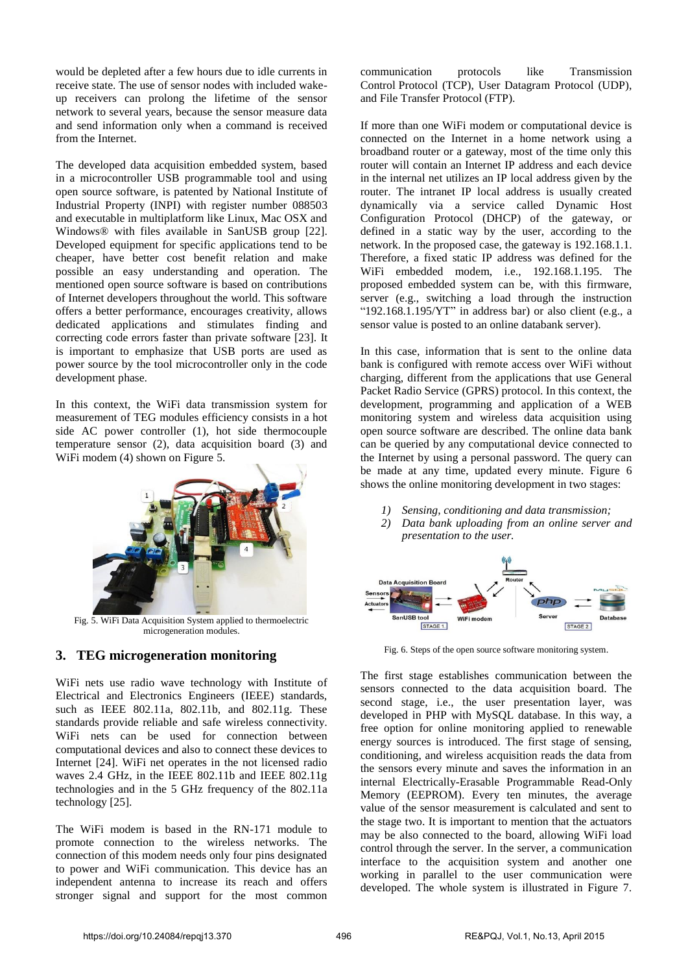would be depleted after a few hours due to idle currents in receive state. The use of sensor nodes with included wakeup receivers can prolong the lifetime of the sensor network to several years, because the sensor measure data and send information only when a command is received from the Internet.

The developed data acquisition embedded system, based in a microcontroller USB programmable tool and using open source software, is patented by National Institute of Industrial Property (INPI) with register number 088503 and executable in multiplatform like Linux, Mac OSX and Windows® with files available in SanUSB group [22]. Developed equipment for specific applications tend to be cheaper, have better cost benefit relation and make possible an easy understanding and operation. The mentioned open source software is based on contributions of Internet developers throughout the world. This software offers a better performance, encourages creativity, allows dedicated applications and stimulates finding and correcting code errors faster than private software [23]. It is important to emphasize that USB ports are used as power source by the tool microcontroller only in the code development phase.

In this context, the WiFi data transmission system for measurement of TEG modules efficiency consists in a hot side AC power controller (1), hot side thermocouple temperature sensor (2), data acquisition board (3) and WiFi modem (4) shown on Figure 5.



Fig. 5. WiFi Data Acquisition System applied to thermoelectric microgeneration modules.

## **3. TEG microgeneration monitoring**

WiFi nets use radio wave technology with Institute of Electrical and Electronics Engineers (IEEE) standards, such as IEEE 802.11a, 802.11b, and 802.11g. These standards provide reliable and safe wireless connectivity. WiFi nets can be used for connection between computational devices and also to connect these devices to Internet [24]. WiFi net operates in the not licensed radio waves 2.4 GHz, in the IEEE 802.11b and IEEE 802.11g technologies and in the 5 GHz frequency of the 802.11a technology [25].

The WiFi modem is based in the RN-171 module to promote connection to the wireless networks. The connection of this modem needs only four pins designated to power and WiFi communication. This device has an independent antenna to increase its reach and offers stronger signal and support for the most common communication protocols like Transmission Control Protocol (TCP), User Datagram Protocol (UDP), and File Transfer Protocol (FTP).

If more than one WiFi modem or computational device is connected on the Internet in a home network using a broadband router or a gateway, most of the time only this router will contain an Internet IP address and each device in the internal net utilizes an IP local address given by the router. The intranet IP local address is usually created dynamically via a service called Dynamic Host Configuration Protocol (DHCP) of the gateway, or defined in a static way by the user, according to the network. In the proposed case, the gateway is 192.168.1.1. Therefore, a fixed static IP address was defined for the WiFi embedded modem, i.e., 192.168.1.195. The proposed embedded system can be, with this firmware, server (e.g., switching a load through the instruction "192.168.1.195/ $YT''$  in address bar) or also client (e.g., a sensor value is posted to an online databank server).

In this case, information that is sent to the online data bank is configured with remote access over WiFi without charging, different from the applications that use General Packet Radio Service (GPRS) protocol. In this context, the development, programming and application of a WEB monitoring system and wireless data acquisition using open source software are described. The online data bank can be queried by any computational device connected to the Internet by using a personal password. The query can be made at any time, updated every minute. Figure 6 shows the online monitoring development in two stages:

- *1) Sensing, conditioning and data transmission;*
- *2) Data bank uploading from an online server and presentation to the user.*



Fig. 6. Steps of the open source software monitoring system.

The first stage establishes communication between the sensors connected to the data acquisition board. The second stage, i.e., the user presentation layer, was developed in PHP with MySQL database. In this way, a free option for online monitoring applied to renewable energy sources is introduced. The first stage of sensing, conditioning, and wireless acquisition reads the data from the sensors every minute and saves the information in an internal Electrically-Erasable Programmable Read-Only Memory (EEPROM). Every ten minutes, the average value of the sensor measurement is calculated and sent to the stage two. It is important to mention that the actuators may be also connected to the board, allowing WiFi load control through the server. In the server, a communication interface to the acquisition system and another one working in parallel to the user communication were developed. The whole system is illustrated in Figure 7.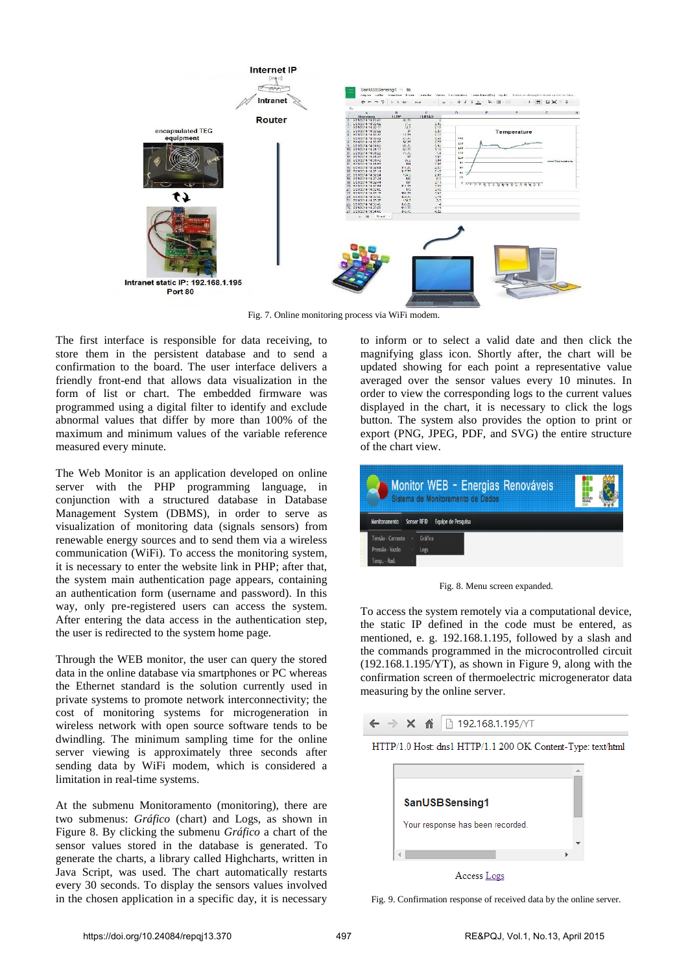

Fig. 7. Online monitoring process via WiFi modem.

The first interface is responsible for data receiving, to store them in the persistent database and to send a confirmation to the board. The user interface delivers a friendly front-end that allows data visualization in the form of list or chart. The embedded firmware was programmed using a digital filter to identify and exclude abnormal values that differ by more than 100% of the maximum and minimum values of the variable reference measured every minute.

The Web Monitor is an application developed on online server with the PHP programming language, in conjunction with a structured database in Database Management System (DBMS), in order to serve as visualization of monitoring data (signals sensors) from renewable energy sources and to send them via a wireless communication (WiFi). To access the monitoring system, it is necessary to enter the website link in PHP; after that, the system main authentication page appears, containing an authentication form (username and password). In this way, only pre-registered users can access the system. After entering the data access in the authentication step, the user is redirected to the system home page.

Through the WEB monitor, the user can query the stored data in the online database via smartphones or PC whereas the Ethernet standard is the solution currently used in private systems to promote network interconnectivity; the cost of monitoring systems for microgeneration in wireless network with open source software tends to be dwindling. The minimum sampling time for the online server viewing is approximately three seconds after sending data by WiFi modem, which is considered a limitation in real-time systems.

At the submenu Monitoramento (monitoring), there are two submenus: *Gráfico* (chart) and Logs, as shown in Figure 8. By clicking the submenu *Gráfico* a chart of the sensor values stored in the database is generated. To generate the charts, a library called Highcharts, written in Java Script, was used. The chart automatically restarts every 30 seconds. To display the sensors values involved in the chosen application in a specific day, it is necessary

to inform or to select a valid date and then click the magnifying glass icon. Shortly after, the chart will be updated showing for each point a representative value averaged over the sensor values every 10 minutes. In order to view the corresponding logs to the current values displayed in the chart, it is necessary to click the logs button. The system also provides the option to print or export (PNG, JPEG, PDF, and SVG) the entire structure of the chart view.



Fig. 8. Menu screen expanded.

To access the system remotely via a computational device, the static IP defined in the code must be entered, as mentioned, e. g. 192.168.1.195, followed by a slash and the commands programmed in the microcontrolled circuit  $(192.168.1.195/YT)$ , as shown in Figure 9, along with the confirmation screen of thermoelectric microgenerator data measuring by the online server.







Access Logs

Fig. 9. Confirmation response of received data by the online server.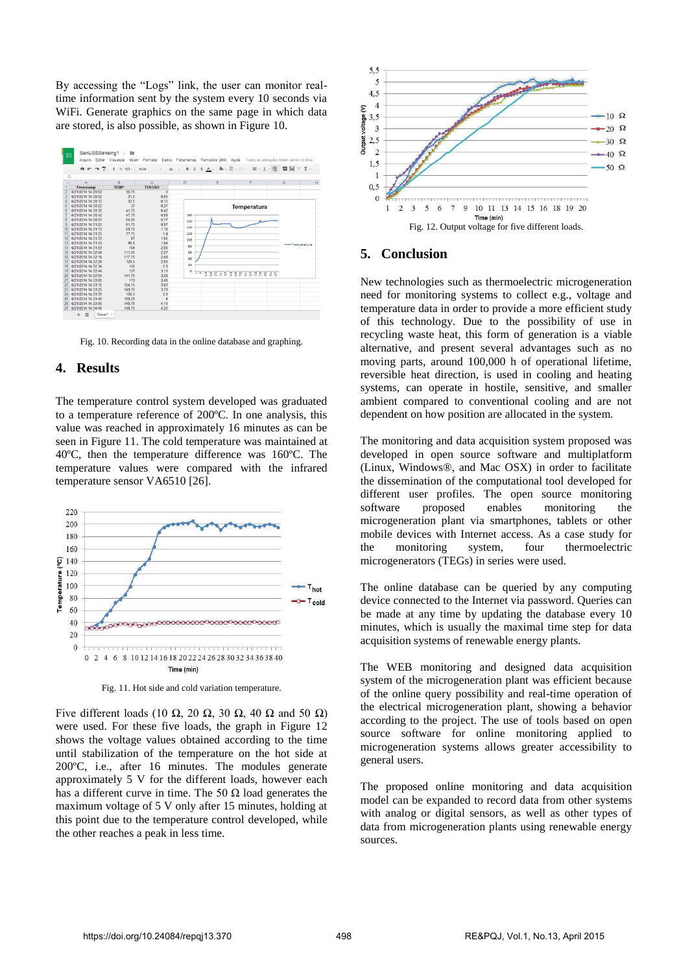By accessing the "Logs" link, the user can monitor realtime information sent by the system every 10 seconds via WiFi. Generate graphics on the same page in which data are stored, is also possible, as shown in Figure 10.



Fig. 10. Recording data in the online database and graphing.

### **4. Results**

The temperature control system developed was graduated to a temperature reference of 200ºC. In one analysis, this value was reached in approximately 16 minutes as can be seen in Figure 11. The cold temperature was maintained at 40ºC, then the temperature difference was 160ºC. The temperature values were compared with the infrared temperature sensor VA6510 [26].



Fig. 11. Hot side and cold variation temperature.

Five different loads (10 Ω, 20 Ω, 30 Ω, 40 Ω and 50 Ω) were used. For these five loads, the graph in Figure 12 shows the voltage values obtained according to the time until stabilization of the temperature on the hot side at 200ºC, i.e., after 16 minutes. The modules generate approximately 5 V for the different loads, however each has a different curve in time. The 50  $\Omega$  load generates the maximum voltage of 5 V only after 15 minutes, holding at this point due to the temperature control developed, while the other reaches a peak in less time.



## **5. Conclusion**

New technologies such as thermoelectric microgeneration need for monitoring systems to collect e.g., voltage and temperature data in order to provide a more efficient study of this technology. Due to the possibility of use in recycling waste heat, this form of generation is a viable alternative, and present several advantages such as no moving parts, around 100,000 h of operational lifetime, reversible heat direction, is used in cooling and heating systems, can operate in hostile, sensitive, and smaller ambient compared to conventional cooling and are not dependent on how position are allocated in the system.

The monitoring and data acquisition system proposed was developed in open source software and multiplatform (Linux, Windows®, and Mac OSX) in order to facilitate the dissemination of the computational tool developed for different user profiles. The open source monitoring software proposed enables monitoring the microgeneration plant via smartphones, tablets or other mobile devices with Internet access. As a case study for the monitoring system, four thermoelectric microgenerators (TEGs) in series were used.

The online database can be queried by any computing device connected to the Internet via password. Queries can be made at any time by updating the database every 10 minutes, which is usually the maximal time step for data acquisition systems of renewable energy plants.

The WEB monitoring and designed data acquisition system of the microgeneration plant was efficient because of the online query possibility and real-time operation of the electrical microgeneration plant, showing a behavior according to the project. The use of tools based on open source software for online monitoring applied to microgeneration systems allows greater accessibility to general users.

The proposed online monitoring and data acquisition model can be expanded to record data from other systems with analog or digital sensors, as well as other types of data from microgeneration plants using renewable energy sources.